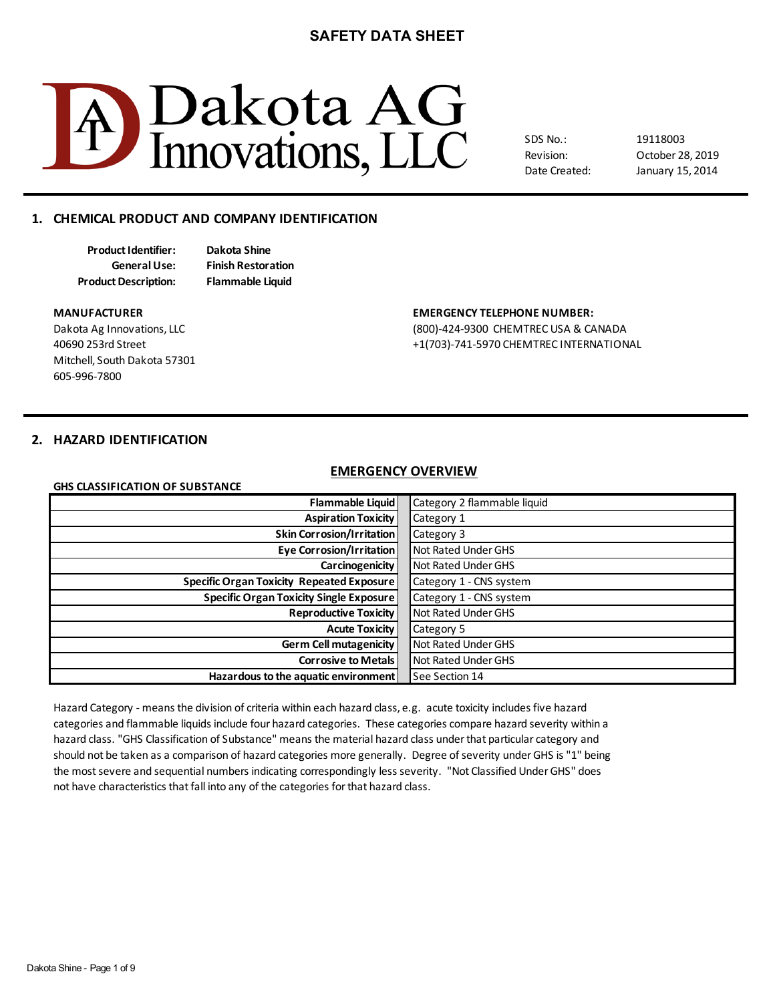

SDS No.: Revision: Date Created:

October 28, 2019 19118003 January 15, 2014

# **1. CHEMICAL PRODUCT AND COMPANY IDENTIFICATION**

**Product Identifier: Dakota Shine Product Description: Flammable Liquid**

**General Use: Finish Restoration**

Mitchell, South Dakota 57301 605-996-7800

#### **MANUFACTURER EMERGENCY TELEPHONE NUMBER:**

Dakota Ag Innovations, LLC (800)-424-9300 CHEMTREC USA & CANADA 40690 253rd Street +1(703)-741-5970 CHEMTREC INTERNATIONAL

# **2. HAZARD IDENTIFICATION**

#### **EMERGENCY OVERVIEW**

| <b>GHS CLASSIFICATION OF SUBSTANCE</b>           |                             |
|--------------------------------------------------|-----------------------------|
| Flammable Liquid                                 | Category 2 flammable liquid |
| <b>Aspiration Toxicity</b>                       | Category 1                  |
| <b>Skin Corrosion/Irritation</b>                 | Category 3                  |
| <b>Eye Corrosion/Irritation</b>                  | Not Rated Under GHS         |
| <b>Carcinogenicity</b>                           | Not Rated Under GHS         |
| <b>Specific Organ Toxicity Repeated Exposure</b> | Category 1 - CNS system     |
| <b>Specific Organ Toxicity Single Exposure</b>   | Category 1 - CNS system     |
| <b>Reproductive Toxicity</b>                     | Not Rated Under GHS         |
| <b>Acute Toxicity</b>                            | Category 5                  |
| <b>Germ Cell mutagenicity</b>                    | Not Rated Under GHS         |
| <b>Corrosive to Metals</b>                       | Not Rated Under GHS         |
| Hazardous to the aquatic environment             | See Section 14              |
|                                                  |                             |

Hazard Category - means the division of criteria within each hazard class, e.g. acute toxicity includes five hazard hazard class. "GHS Classification of Substance" means the material hazard class under that particular category and should not be taken as a comparison of hazard categories more generally. Degree of severity under GHS is "1" being not have characteristics that fall into any of the categories for that hazard class. categories and flammable liquids include four hazard categories. These categories compare hazard severity within a the most severe and sequential numbers indicating correspondingly less severity. "Not Classified Under GHS" does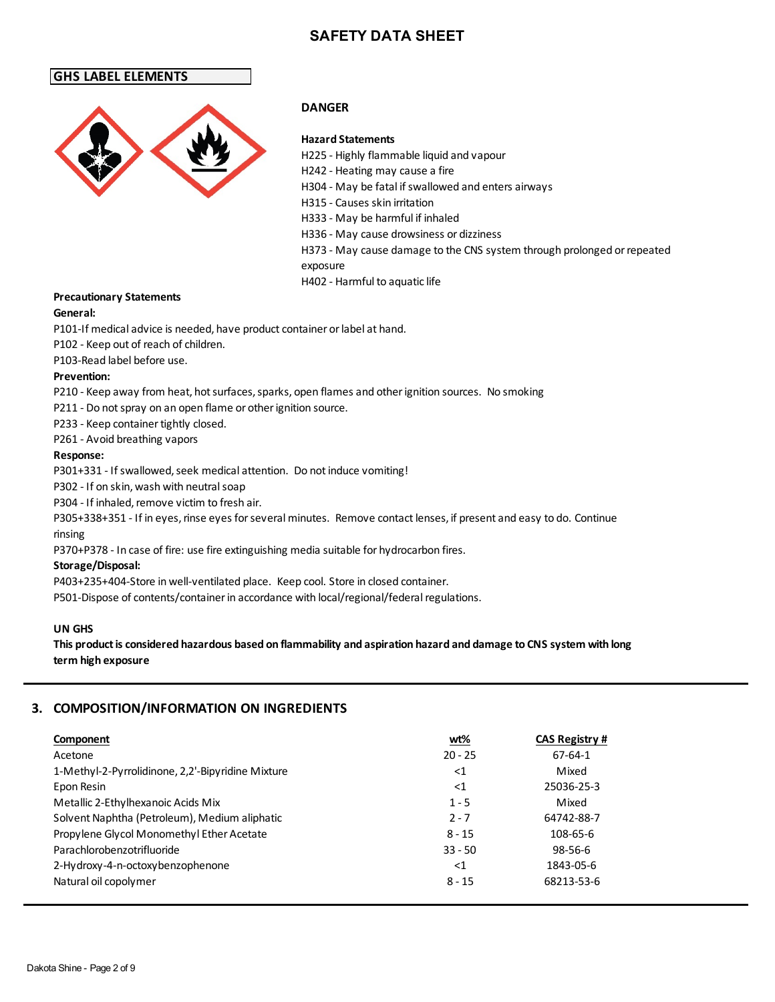# **GHS LABEL ELEMENTS**



# **DANGER**

## **Hazard Statements**

H225 - Highly flammable liquid and vapour H242 - Heating may cause a fire H304 - May be fatal if swallowed and enters airways H315 - Causes skin irritation H333 - May be harmful if inhaled H336 - May cause drowsiness or dizziness H373 - May cause damage to the CNS system through prolonged or repeated exposure H402 - Harmful to aquatic life

## **Precautionary Statements**

#### **General:**

P101-If medical advice is needed, have product container or label at hand.

P102 - Keep out of reach of children.

P103-Read label before use.

#### **Prevention:**

P210 - Keep away from heat, hot surfaces, sparks, open flames and other ignition sources. No smoking

P211 - Do not spray on an open flame or other ignition source.

P233 - Keep container tightly closed.

P261 - Avoid breathing vapors

#### **Response:**

P301+331 - If swallowed, seek medical attention. Do not induce vomiting!

P302 - If on skin, wash with neutral soap

P304 - If inhaled, remove victim to fresh air.

P305+338+351 - If in eyes, rinse eyes for several minutes. Remove contact lenses, if present and easy to do. Continue rinsing

P370+P378 - In case of fire: use fire extinguishing media suitable for hydrocarbon fires.

### **Storage/Disposal:**

P403+235+404-Store in well-ventilated place. Keep cool. Store in closed container.

P501-Dispose of contents/container in accordance with local/regional/federal regulations.

### **UN GHS**

**This product is considered hazardous based on flammability and aspiration hazard and damage to CNS system with long term high exposure**

# **3. COMPOSITION/INFORMATION ON INGREDIENTS**

| Component                                         | <u>wt%</u> | <b>CAS Registry #</b> |
|---------------------------------------------------|------------|-----------------------|
| Acetone                                           | $20 - 25$  | 67-64-1               |
| 1-Methyl-2-Pyrrolidinone, 2,2'-Bipyridine Mixture | ${<}1$     | Mixed                 |
| Epon Resin                                        | ${<}1$     | 25036-25-3            |
| Metallic 2-Ethylhexanoic Acids Mix                | $1 - 5$    | Mixed                 |
| Solvent Naphtha (Petroleum), Medium aliphatic     | $2 - 7$    | 64742-88-7            |
| Propylene Glycol Monomethyl Ether Acetate         | $8 - 15$   | 108-65-6              |
| Parachlorobenzotrifluoride                        | $33 - 50$  | $98 - 56 - 6$         |
| 2-Hydroxy-4-n-octoxybenzophenone                  | ${<}1$     | 1843-05-6             |
| Natural oil copolymer                             | $8 - 15$   | 68213-53-6            |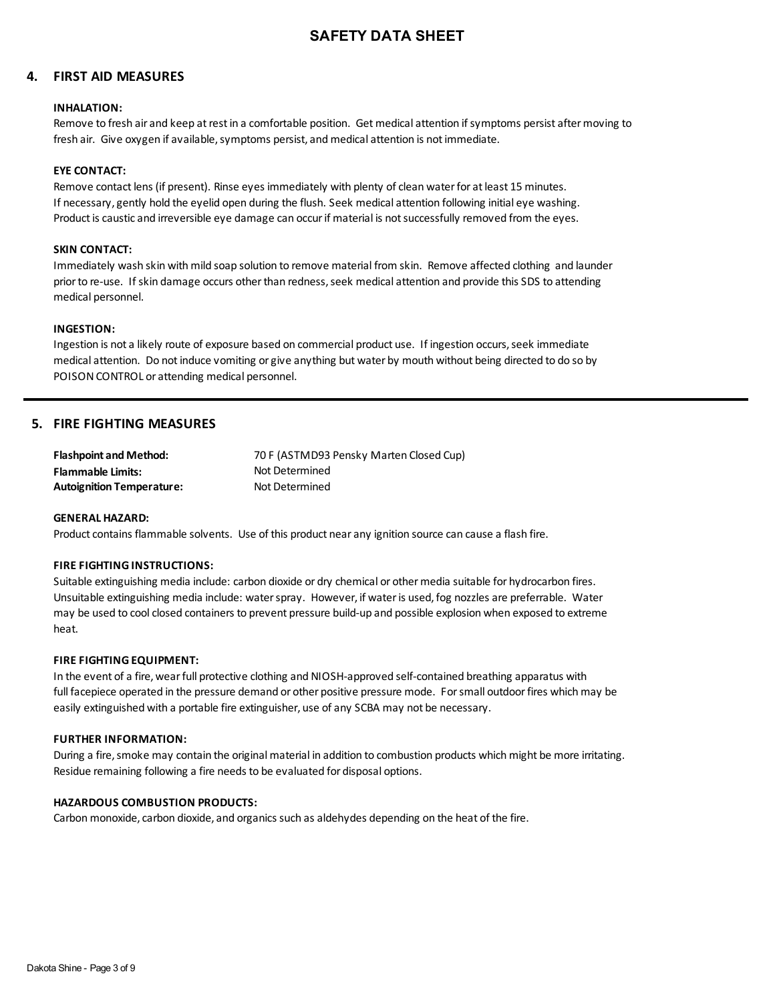# **4. FIRST AID MEASURES**

#### **INHALATION:**

Remove to fresh air and keep at rest in a comfortable position. Get medical attention if symptoms persist after moving to fresh air. Give oxygen if available, symptoms persist, and medical attention is not immediate.

### **EYE CONTACT:**

Remove contact lens (if present). Rinse eyes immediately with plenty of clean water for at least 15 minutes. If necessary, gently hold the eyelid open during the flush. Seek medical attention following initial eye washing. Product is caustic and irreversible eye damage can occur if material is not successfully removed from the eyes.

#### **SKIN CONTACT:**

Immediately wash skin with mild soap solution to remove material from skin. Remove affected clothing and launder prior to re-use. If skin damage occurs other than redness, seek medical attention and provide this SDS to attending medical personnel.

#### **INGESTION:**

Ingestion is not a likely route of exposure based on commercial product use. If ingestion occurs, seek immediate medical attention. Do not induce vomiting or give anything but water by mouth without being directed to do so by POISON CONTROL or attending medical personnel.

## **5. FIRE FIGHTING MEASURES**

| <b>Flashpoint and Method:</b>    | 70 F (ASTMD93 Pensky Marten Closed Cup) |
|----------------------------------|-----------------------------------------|
| <b>Flammable Limits:</b>         | Not Determined                          |
| <b>Autoignition Temperature:</b> | Not Determined                          |

#### **GENERAL HAZARD:**

Product contains flammable solvents. Use of this product near any ignition source can cause a flash fire.

#### **FIRE FIGHTING INSTRUCTIONS:**

Suitable extinguishing media include: carbon dioxide or dry chemical or other media suitable for hydrocarbon fires. Unsuitable extinguishing media include: water spray. However, if water is used, fog nozzles are preferrable. Water may be used to cool closed containers to prevent pressure build-up and possible explosion when exposed to extreme heat.

#### **FIRE FIGHTING EQUIPMENT:**

In the event of a fire, wear full protective clothing and NIOSH-approved self-contained breathing apparatus with full facepiece operated in the pressure demand or other positive pressure mode. For small outdoor fires which may be easily extinguished with a portable fire extinguisher, use of any SCBA may not be necessary.

#### **FURTHER INFORMATION:**

During a fire, smoke may contain the original material in addition to combustion products which might be more irritating. Residue remaining following a fire needs to be evaluated for disposal options.

#### **HAZARDOUS COMBUSTION PRODUCTS:**

Carbon monoxide, carbon dioxide, and organics such as aldehydes depending on the heat of the fire.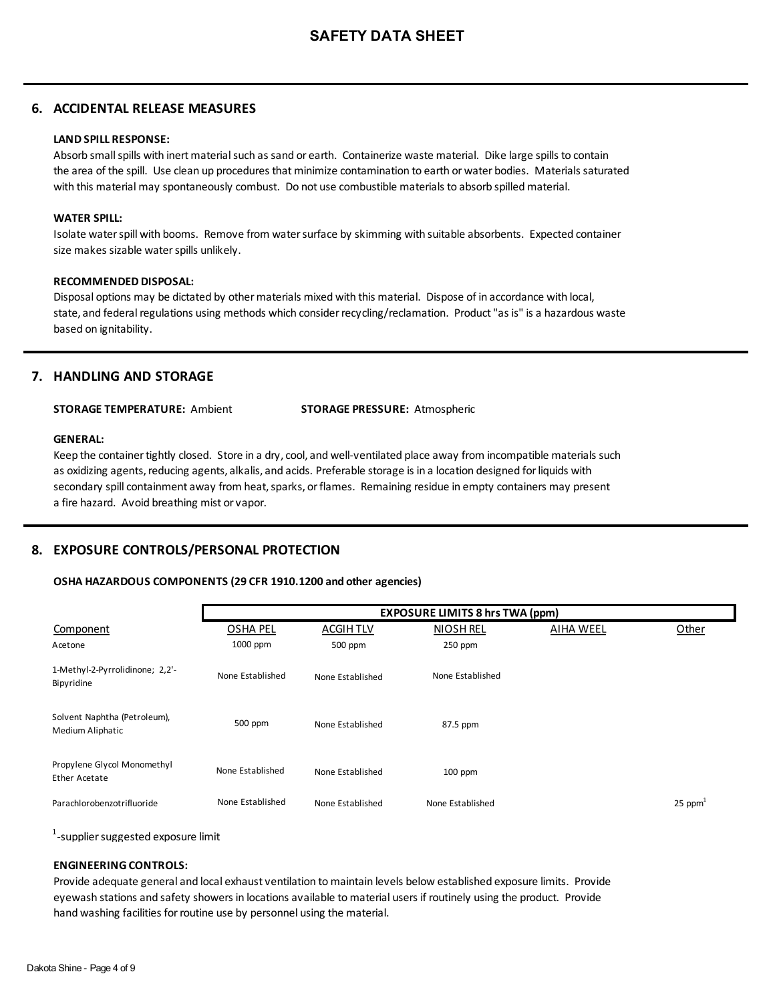# **6. ACCIDENTAL RELEASE MEASURES**

## **LAND SPILL RESPONSE:**

Absorb small spills with inert material such as sand or earth. Containerize waste material. Dike large spills to contain the area of the spill. Use clean up procedures that minimize contamination to earth or water bodies. Materials saturated with this material may spontaneously combust. Do not use combustible materials to absorb spilled material.

#### **WATER SPILL:**

Isolate water spill with booms. Remove from water surface by skimming with suitable absorbents. Expected container size makes sizable water spills unlikely.

### **RECOMMENDED DISPOSAL:**

Disposal options may be dictated by other materials mixed with this material. Dispose of in accordance with local, state, and federal regulations using methods which consider recycling/reclamation. Product "as is" is a hazardous waste based on ignitability.

# **7. HANDLING AND STORAGE**

**STORAGE TEMPERATURE:** Ambient **STORAGE PRESSURE:** Atmospheric

#### **GENERAL:**

Keep the container tightly closed. Store in a dry, cool, and well-ventilated place away from incompatible materials such as oxidizing agents, reducing agents, alkalis, and acids. Preferable storage is in a location designed for liquids with secondary spill containment away from heat, sparks, or flames. Remaining residue in empty containers may present a fire hazard. Avoid breathing mist or vapor.

# **8. EXPOSURE CONTROLS/PERSONAL PROTECTION**

## **OSHA HAZARDOUS COMPONENTS (29 CFR 1910.1200 and other agencies)**

|                                                  |                  |                  | <b>EXPOSURE LIMITS 8 hrs TWA (ppm)</b> |                  |                       |
|--------------------------------------------------|------------------|------------------|----------------------------------------|------------------|-----------------------|
| Component                                        | <b>OSHA PEL</b>  | ACGIH TLV        | <b>NIOSH REL</b>                       | <b>AIHA WEEL</b> | Other                 |
| Acetone                                          | 1000 ppm         | 500 ppm          | $250$ ppm                              |                  |                       |
| 1-Methyl-2-Pyrrolidinone; 2,2'-<br>Bipyridine    | None Established | None Established | None Established                       |                  |                       |
| Solvent Naphtha (Petroleum),<br>Medium Aliphatic | 500 ppm          | None Established | 87.5 ppm                               |                  |                       |
| Propylene Glycol Monomethyl<br>Ether Acetate     | None Established | None Established | $100$ ppm                              |                  |                       |
| Parachlorobenzotrifluoride                       | None Established | None Established | None Established                       |                  | $25$ ppm <sup>1</sup> |

 $^{\rm 1}$ -supplier suggested exposure limit

### **ENGINEERING CONTROLS:**

Provide adequate general and local exhaust ventilation to maintain levels below established exposure limits. Provide eyewash stations and safety showers in locations available to material users if routinely using the product. Provide hand washing facilities for routine use by personnel using the material.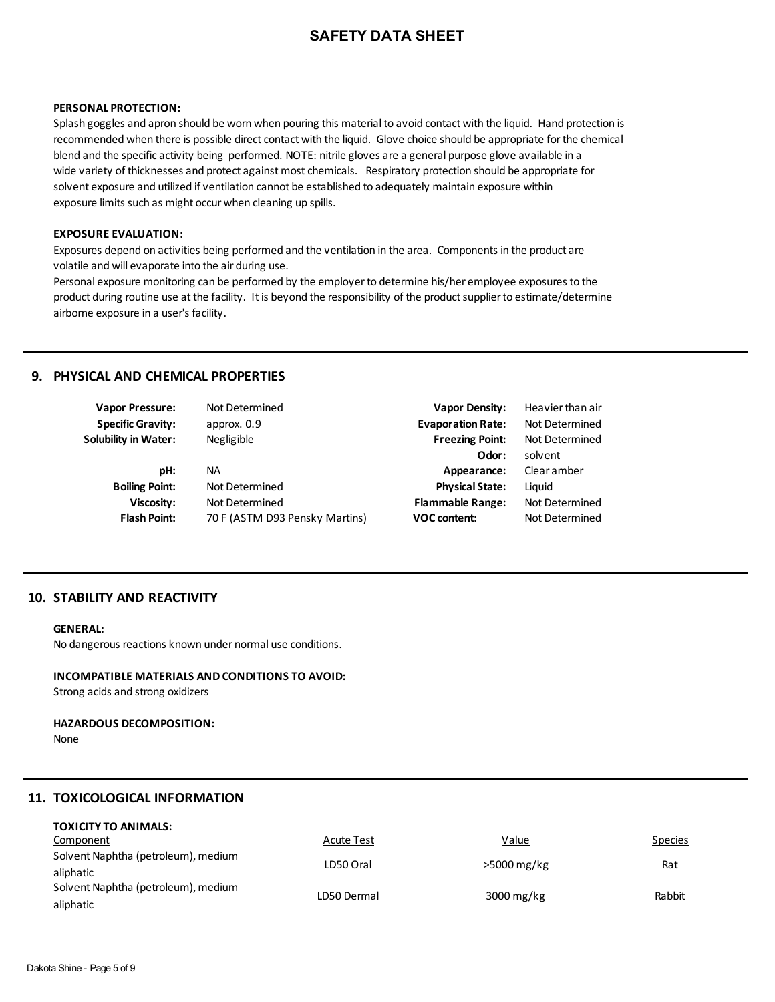#### **PERSONAL PROTECTION:**

Splash goggles and apron should be worn when pouring this material to avoid contact with the liquid. Hand protection is recommended when there is possible direct contact with the liquid. Glove choice should be appropriate for the chemical blend and the specific activity being performed. NOTE: nitrile gloves are a general purpose glove available in a wide variety of thicknesses and protect against most chemicals. Respiratory protection should be appropriate for solvent exposure and utilized if ventilation cannot be established to adequately maintain exposure within exposure limits such as might occur when cleaning up spills.

#### **EXPOSURE EVALUATION:**

Exposures depend on activities being performed and the ventilation in the area. Components in the product are volatile and will evaporate into the air during use.

Personal exposure monitoring can be performed by the employer to determine his/her employee exposures to the product during routine use at the facility. It is beyond the responsibility of the product supplier to estimate/determine airborne exposure in a user's facility.

# **9. PHYSICAL AND CHEMICAL PROPERTIES**

| Vapor Pressure:          | Not Determined                 | <b>Vapor Density:</b>    | Heavier than air |
|--------------------------|--------------------------------|--------------------------|------------------|
| <b>Specific Gravity:</b> | approx. 0.9                    | <b>Evaporation Rate:</b> | Not Determined   |
| Solubility in Water:     | Negligible                     | <b>Freezing Point:</b>   | Not Determined   |
|                          |                                | Odor:                    | solvent          |
| pH:                      | NА                             | Appearance:              | Clear amber      |
| <b>Boiling Point:</b>    | Not Determined                 | <b>Physical State:</b>   | Liguid           |
| Viscosity:               | Not Determined                 | <b>Flammable Range:</b>  | Not Determined   |
| <b>Flash Point:</b>      | 70 F (ASTM D93 Pensky Martins) | <b>VOC content:</b>      | Not Determined   |
|                          |                                |                          |                  |

# **10. STABILITY AND REACTIVITY**

#### **GENERAL:**

No dangerous reactions known under normal use conditions.

# **INCOMPATIBLE MATERIALS AND CONDITIONS TO AVOID:**

Strong acids and strong oxidizers

## **HAZARDOUS DECOMPOSITION:**

None

# **11. TOXICOLOGICAL INFORMATION**

| <b>TOXICITY TO ANIMALS:</b>         |                   |                         |                |
|-------------------------------------|-------------------|-------------------------|----------------|
| Component                           | <b>Acute Test</b> | Value                   | <b>Species</b> |
| Solvent Naphtha (petroleum), medium | LD50 Oral         | >5000 mg/kg             | Rat            |
| aliphatic                           |                   |                         |                |
| Solvent Naphtha (petroleum), medium | LD50 Dermal       | $3000 \,\mathrm{mg/kg}$ | Rabbit         |
| aliphatic                           |                   |                         |                |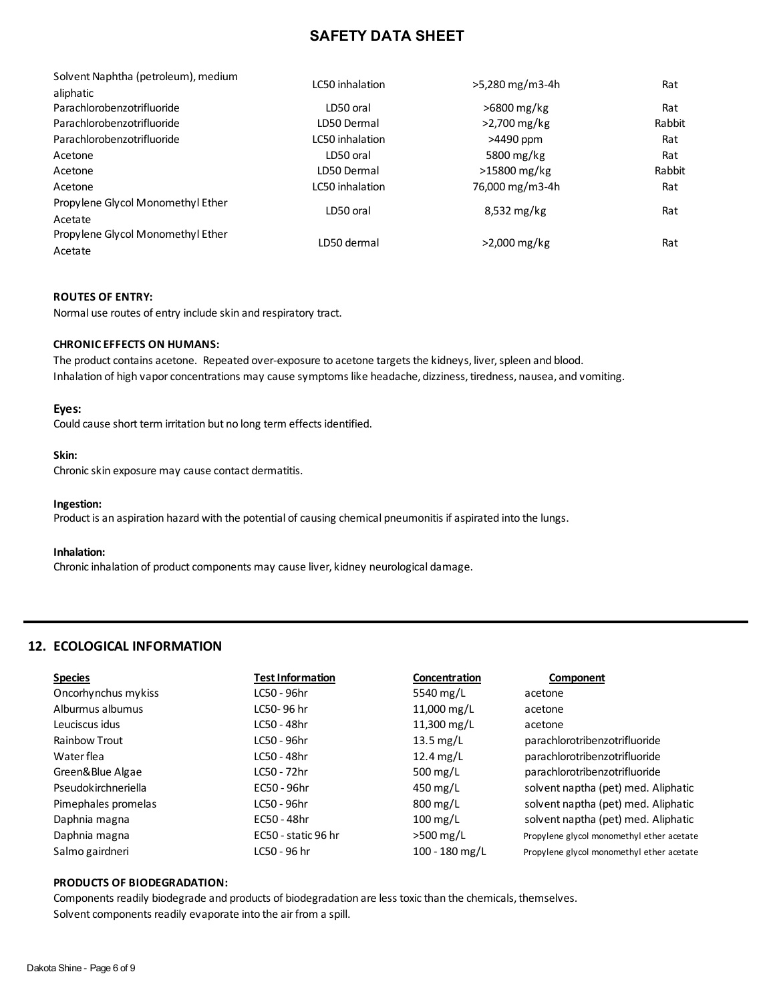| Solvent Naphtha (petroleum), medium | LC50 inhalation | >5,280 mg/m3-4h | Rat    |
|-------------------------------------|-----------------|-----------------|--------|
| aliphatic                           |                 |                 |        |
| Parachlorobenzotrifluoride          | LD50 oral       | >6800 mg/kg     | Rat    |
| Parachlorobenzotrifluoride          | LD50 Dermal     | >2,700 mg/kg    | Rabbit |
| Parachlorobenzotrifluoride          | LC50 inhalation | >4490 ppm       | Rat    |
| Acetone                             | LD50 oral       | 5800 mg/kg      | Rat    |
| Acetone                             | LD50 Dermal     | >15800 mg/kg    | Rabbit |
| Acetone                             | LC50 inhalation | 76,000 mg/m3-4h | Rat    |
| Propylene Glycol Monomethyl Ether   | LD50 oral       | $8,532$ mg/kg   | Rat    |
| Acetate                             |                 |                 |        |
| Propylene Glycol Monomethyl Ether   | LD50 dermal     | >2,000 mg/kg    | Rat    |
| Acetate                             |                 |                 |        |

#### **ROUTES OF ENTRY:**

Normal use routes of entry include skin and respiratory tract.

#### **CHRONIC EFFECTS ON HUMANS:**

The product contains acetone. Repeated over-exposure to acetone targets the kidneys, liver, spleen and blood. Inhalation of high vapor concentrations may cause symptoms like headache, dizziness, tiredness, nausea, and vomiting.

#### **Eyes:**

Could cause short term irritation but no long term effects identified.

#### **Skin:**

Chronic skin exposure may cause contact dermatitis.

#### **Ingestion:**

Product is an aspiration hazard with the potential of causing chemical pneumonitis if aspirated into the lungs.

#### **Inhalation:**

Chronic inhalation of product components may cause liver, kidney neurological damage.

# **12. ECOLOGICAL INFORMATION**

| <b>Species</b>      | <b>Test Information</b> | <b>Concentration</b>  | Component                                 |
|---------------------|-------------------------|-----------------------|-------------------------------------------|
| Oncorhynchus mykiss | LC50 - 96hr             | 5540 mg/L             | acetone                                   |
| Alburmus albumus    | LC50-96 hr              | 11,000 mg/L           | acetone                                   |
| Leuciscus idus      | LC50 - 48hr             | 11,300 mg/L           | acetone                                   |
| Rainbow Trout       | LC50 - 96hr             | 13.5 mg/L             | parachlorotribenzotrifluoride             |
| Water flea          | LC50 - 48hr             | $12.4 \text{ mg/L}$   | parachlorotribenzotrifluoride             |
| Green&Blue Algae    | LC50 - 72hr             | 500 mg/L              | parachlorotribenzotrifluoride             |
| Pseudokirchneriella | EC50 - 96hr             | $450 \,\mathrm{mg/L}$ | solvent naptha (pet) med. Aliphatic       |
| Pimephales promelas | LC50 - 96hr             | $800 \,\mathrm{mg/L}$ | solvent naptha (pet) med. Aliphatic       |
| Daphnia magna       | EC50 - 48hr             | $100 \,\mathrm{mg/L}$ | solvent naptha (pet) med. Aliphatic       |
| Daphnia magna       | EC50 - static 96 hr     | $>500$ mg/L           | Propylene glycol monomethyl ether acetate |
| Salmo gairdneri     | LC50 - 96 hr            | 100 - 180 mg/L        | Propylene glycol monomethyl ether acetate |

#### **PRODUCTS OF BIODEGRADATION:**

Components readily biodegrade and products of biodegradation are less toxic than the chemicals, themselves. Solvent components readily evaporate into the air from a spill.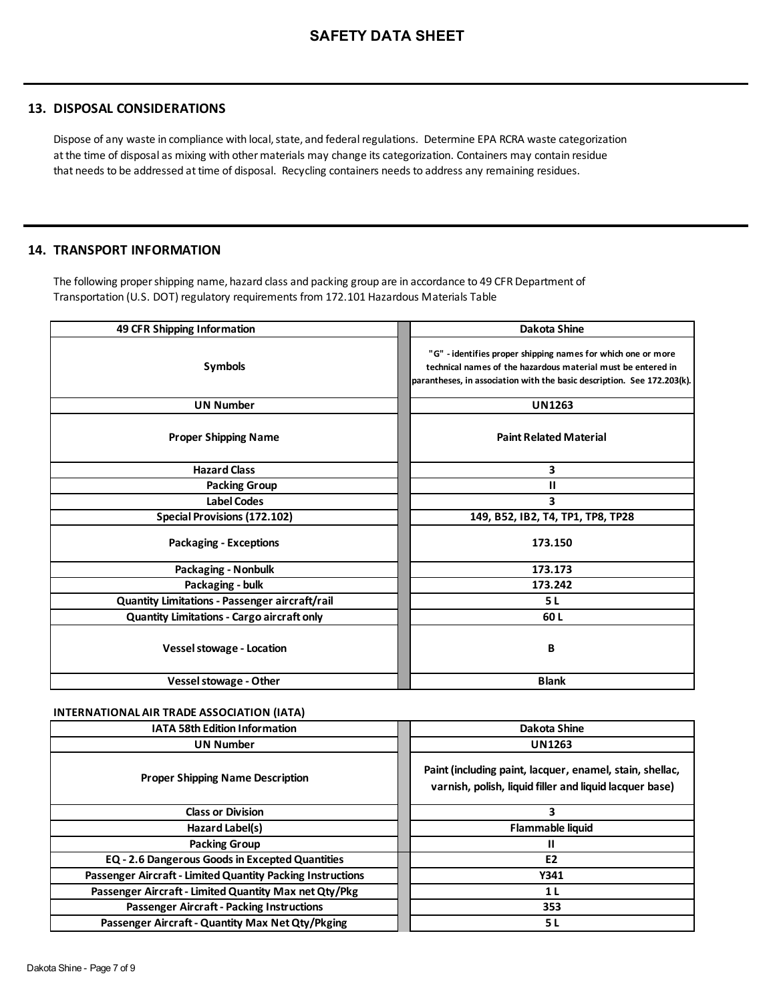# **13. DISPOSAL CONSIDERATIONS**

Dispose of any waste in compliance with local, state, and federal regulations. Determine EPA RCRA waste categorization at the time of disposal as mixing with other materials may change its categorization. Containers may contain residue that needs to be addressed at time of disposal. Recycling containers needs to address any remaining residues.

# **14. TRANSPORT INFORMATION**

The following proper shipping name, hazard class and packing group are in accordance to 49 CFR Department of Transportation (U.S. DOT) regulatory requirements from 172.101 Hazardous Materials Table

| 49 CFR Shipping Information                    | <b>Dakota Shine</b>                                                                                                                                                                                     |
|------------------------------------------------|---------------------------------------------------------------------------------------------------------------------------------------------------------------------------------------------------------|
| Symbols                                        | "G" - identifies proper shipping names for which one or more<br>technical names of the hazardous material must be entered in<br>parantheses, in association with the basic description. See 172.203(k). |
| <b>UN Number</b>                               | <b>UN1263</b>                                                                                                                                                                                           |
| <b>Proper Shipping Name</b>                    | <b>Paint Related Material</b>                                                                                                                                                                           |
| <b>Hazard Class</b>                            | 3                                                                                                                                                                                                       |
| <b>Packing Group</b>                           | Ш                                                                                                                                                                                                       |
| <b>Label Codes</b>                             | 3                                                                                                                                                                                                       |
| <b>Special Provisions (172.102)</b>            | 149, B52, IB2, T4, TP1, TP8, TP28                                                                                                                                                                       |
| <b>Packaging - Exceptions</b>                  | 173.150                                                                                                                                                                                                 |
| <b>Packaging - Nonbulk</b>                     | 173.173                                                                                                                                                                                                 |
| Packaging - bulk                               | 173.242                                                                                                                                                                                                 |
| Quantity Limitations - Passenger aircraft/rail | 5 L                                                                                                                                                                                                     |
| Quantity Limitations - Cargo aircraft only     | 60 L                                                                                                                                                                                                    |
| <b>Vessel stowage - Location</b>               | B                                                                                                                                                                                                       |
| Vessel stowage - Other                         | <b>Blank</b>                                                                                                                                                                                            |

## **INTERNATIONAL AIR TRADE ASSOCIATION (IATA)**

| <b>IATA 58th Edition Information</b>                       | Dakota Shine                                                                                                        |
|------------------------------------------------------------|---------------------------------------------------------------------------------------------------------------------|
| <b>UN Number</b>                                           | <b>UN1263</b>                                                                                                       |
| <b>Proper Shipping Name Description</b>                    | Paint (including paint, lacquer, enamel, stain, shellac,<br>varnish, polish, liquid filler and liquid lacquer base) |
| <b>Class or Division</b>                                   | 3                                                                                                                   |
| Hazard Label(s)                                            | <b>Flammable liquid</b>                                                                                             |
| <b>Packing Group</b>                                       | н                                                                                                                   |
| EQ - 2.6 Dangerous Goods in Excepted Quantities            | E <sub>2</sub>                                                                                                      |
| Passenger Aircraft - Limited Quantity Packing Instructions | Y341                                                                                                                |
| Passenger Aircraft - Limited Quantity Max net Qty/Pkg      | 1 L                                                                                                                 |
| <b>Passenger Aircraft - Packing Instructions</b>           | 353                                                                                                                 |
| Passenger Aircraft - Quantity Max Net Qty/Pkging           | 5 L                                                                                                                 |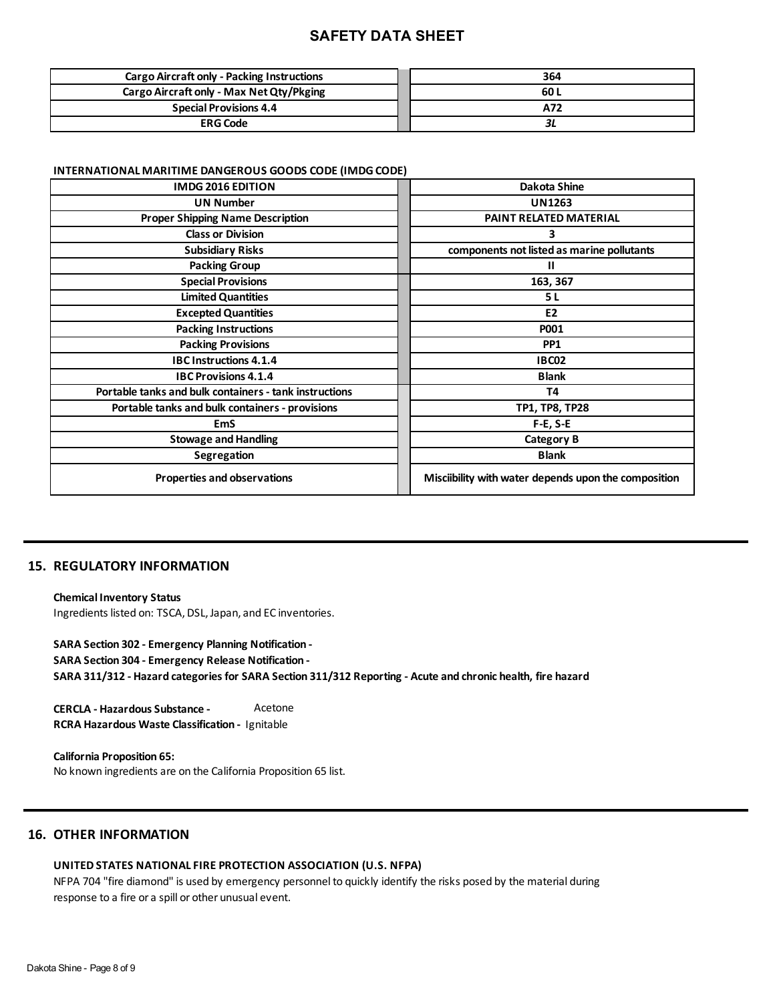| <b>Cargo Aircraft only - Packing Instructions</b> | 364  |
|---------------------------------------------------|------|
| Cargo Aircraft only - Max Net Qty/Pkging          | 60 L |
| <b>Special Provisions 4.4</b>                     | A72  |
| <b>ERG Code</b>                                   |      |

#### **INTERNATIONAL MARITIME DANGEROUS GOODS CODE (IMDG CODE)**

| <b>IMDG 2016 EDITION</b>                               | Dakota Shine                                         |
|--------------------------------------------------------|------------------------------------------------------|
| <b>UN Number</b>                                       | <b>UN1263</b>                                        |
| <b>Proper Shipping Name Description</b>                | PAINT RELATED MATERIAL                               |
| <b>Class or Division</b>                               | 3                                                    |
| <b>Subsidiary Risks</b>                                | components not listed as marine pollutants           |
| <b>Packing Group</b>                                   | Ш                                                    |
| <b>Special Provisions</b>                              | 163, 367                                             |
| <b>Limited Quantities</b>                              | 5 L                                                  |
| <b>Excepted Quantities</b>                             | E <sub>2</sub>                                       |
| <b>Packing Instructions</b>                            | <b>P001</b>                                          |
| <b>Packing Provisions</b>                              | PP <sub>1</sub>                                      |
| <b>IBC Instructions 4.1.4</b>                          | <b>IBC02</b>                                         |
| <b>IBC Provisions 4.1.4</b>                            | <b>Blank</b>                                         |
| Portable tanks and bulk containers - tank instructions | Т4                                                   |
| Portable tanks and bulk containers - provisions        | TP1, TP8, TP28                                       |
| <b>EmS</b>                                             | $F-E, S-E$                                           |
| <b>Stowage and Handling</b>                            | <b>Category B</b>                                    |
| Segregation                                            | <b>Blank</b>                                         |
| <b>Properties and observations</b>                     | Misciibility with water depends upon the composition |

# **15. REGULATORY INFORMATION**

**Chemical Inventory Status** Ingredients listed on: TSCA, DSL, Japan, and EC inventories.

**SARA Section 302 - Emergency Planning Notification - SARA Section 304 - Emergency Release Notification - SARA 311/312 - Hazard categories for SARA Section 311/312 Reporting - Acute and chronic health, fire hazard**

**CERCLA - Hazardous Substance - RCRA Hazardous Waste Classification -** Ignitable Acetone

**California Proposition 65:**  No known ingredients are on the California Proposition 65 list.

# **16. OTHER INFORMATION**

### **UNITED STATES NATIONAL FIRE PROTECTION ASSOCIATION (U.S. NFPA)**

NFPA 704 "fire diamond" is used by emergency personnel to quickly identify the risks posed by the material during response to a fire or a spill or other unusual event.